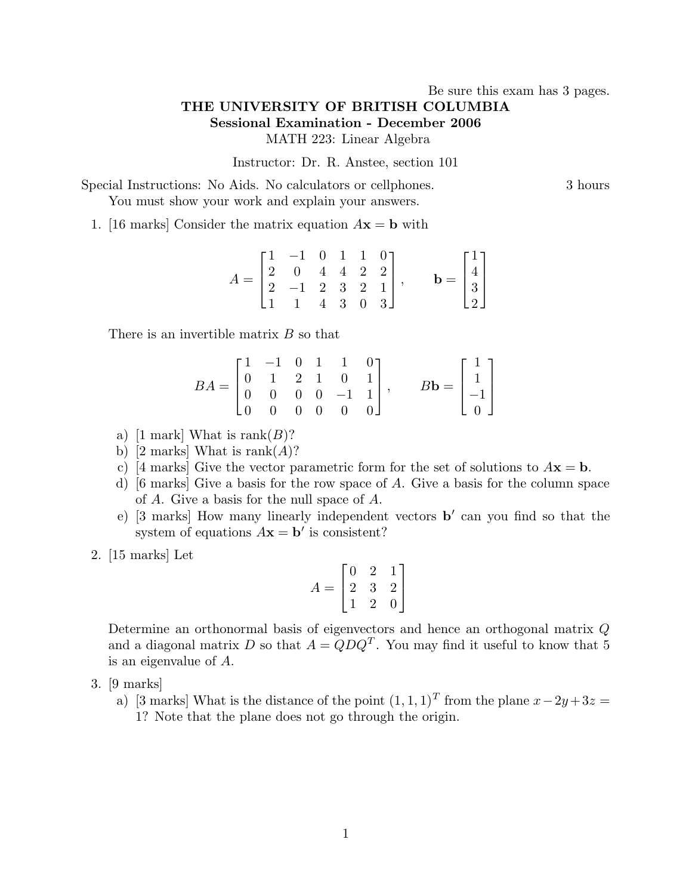## Be sure this exam has 3 pages. THE UNIVERSITY OF BRITISH COLUMBIA Sessional Examination - December 2006 MATH 223: Linear Algebra

Instructor: Dr. R. Anstee, section 101

Special Instructions: No Aids. No calculators or cellphones. 3 hours You must show your work and explain your answers.

1. [16 marks] Consider the matrix equation  $A\mathbf{x} = \mathbf{b}$  with

$$
A = \begin{bmatrix} 1 & -1 & 0 & 1 & 1 & 0 \\ 2 & 0 & 4 & 4 & 2 & 2 \\ 2 & -1 & 2 & 3 & 2 & 1 \\ 1 & 1 & 4 & 3 & 0 & 3 \end{bmatrix}, \quad \mathbf{b} = \begin{bmatrix} 1 \\ 4 \\ 3 \\ 2 \end{bmatrix}
$$

There is an invertible matrix B so that

$$
BA = \begin{bmatrix} 1 & -1 & 0 & 1 & 1 & 0 \\ 0 & 1 & 2 & 1 & 0 & 1 \\ 0 & 0 & 0 & 0 & -1 & 1 \\ 0 & 0 & 0 & 0 & 0 & 0 \end{bmatrix}, \qquad B\mathbf{b} = \begin{bmatrix} 1 \\ 1 \\ -1 \\ 0 \end{bmatrix}
$$

- a) [1 mark] What is rank $(B)$ ?
- b) [2 marks] What is rank $(A)$ ?
- c) [4 marks] Give the vector parametric form for the set of solutions to  $A\mathbf{x} = \mathbf{b}$ .
- d) [6 marks] Give a basis for the row space of A. Give a basis for the column space of A. Give a basis for the null space of A.
- e)  $[3 \text{ marks}]$  How many linearly independent vectors  $\mathbf{b}'$  can you find so that the system of equations  $A\mathbf{x} = \mathbf{b}'$  is consistent?
- 2. [15 marks] Let

$$
A = \begin{bmatrix} 0 & 2 & 1 \\ 2 & 3 & 2 \\ 1 & 2 & 0 \end{bmatrix}
$$

Determine an orthonormal basis of eigenvectors and hence an orthogonal matrix Q and a diagonal matrix D so that  $A = QDQ^T$ . You may find it useful to know that 5 is an eigenvalue of A.

- 3. [9 marks]
	- a) [3 marks] What is the distance of the point  $(1, 1, 1)^T$  from the plane  $x 2y + 3z =$ 1? Note that the plane does not go through the origin.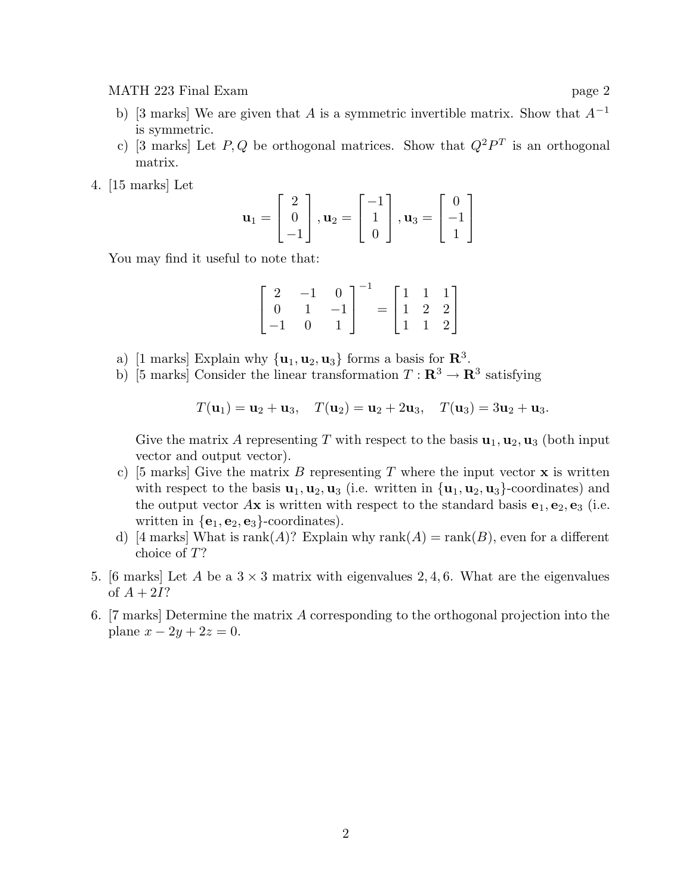MATH 223 Final Exam page 2

- b) [3 marks] We are given that A is a symmetric invertible matrix. Show that  $A^{-1}$ is symmetric.
- c) [3 marks] Let P, Q be orthogonal matrices. Show that  $Q^2P^T$  is an orthogonal matrix.
- 4. [15 marks] Let

$$
\mathbf{u}_1 = \begin{bmatrix} 2 \\ 0 \\ -1 \end{bmatrix}, \mathbf{u}_2 = \begin{bmatrix} -1 \\ 1 \\ 0 \end{bmatrix}, \mathbf{u}_3 = \begin{bmatrix} 0 \\ -1 \\ 1 \end{bmatrix}
$$

You may find it useful to note that:

$$
\begin{bmatrix} 2 & -1 & 0 \ 0 & 1 & -1 \ -1 & 0 & 1 \end{bmatrix}^{-1} = \begin{bmatrix} 1 & 1 & 1 \ 1 & 2 & 2 \ 1 & 1 & 2 \end{bmatrix}
$$

- a) [1 marks] Explain why  $\{u_1, u_2, u_3\}$  forms a basis for  $\mathbb{R}^3$ .
- b) [5 marks] Consider the linear transformation  $T: \mathbb{R}^3 \to \mathbb{R}^3$  satisfying

$$
T(\mathbf{u}_1) = \mathbf{u}_2 + \mathbf{u}_3
$$
,  $T(\mathbf{u}_2) = \mathbf{u}_2 + 2\mathbf{u}_3$ ,  $T(\mathbf{u}_3) = 3\mathbf{u}_2 + \mathbf{u}_3$ .

Give the matrix A representing T with respect to the basis  $\mathbf{u}_1, \mathbf{u}_2, \mathbf{u}_3$  (both input vector and output vector).

- c) [5 marks] Give the matrix B representing T where the input vector  $\bf{x}$  is written with respect to the basis  $\mathbf{u}_1, \mathbf{u}_2, \mathbf{u}_3$  (i.e. written in  $\{\mathbf{u}_1, \mathbf{u}_2, \mathbf{u}_3\}$ -coordinates) and the output vector  $A\mathbf{x}$  is written with respect to the standard basis  $\mathbf{e}_1, \mathbf{e}_2, \mathbf{e}_3$  (i.e. written in  $\{e_1, e_2, e_3\}$ -coordinates).
- d) [4 marks] What is rank(A)? Explain why rank(A) = rank(B), even for a different choice of T?
- 5. [6 marks] Let A be a  $3 \times 3$  matrix with eigenvalues 2, 4, 6. What are the eigenvalues of  $A + 2I$ ?
- 6. [7 marks] Determine the matrix A corresponding to the orthogonal projection into the plane  $x - 2y + 2z = 0$ .